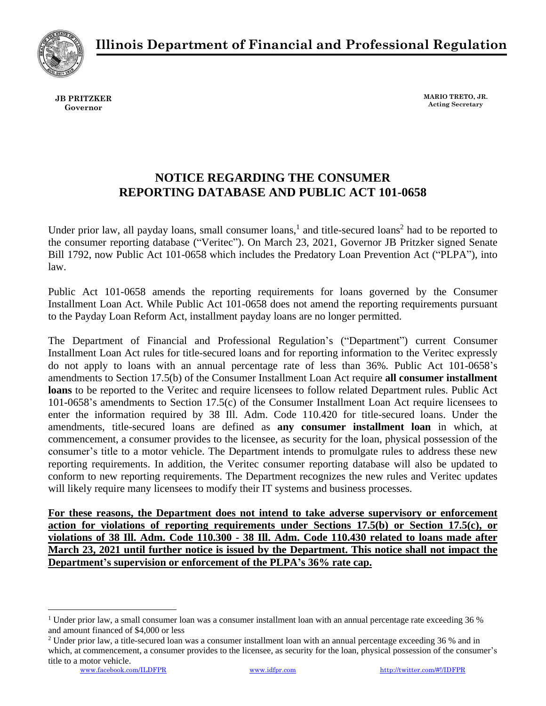**Illinois Department of Financial and Professional Regulation**



**JB PRITZKER Governor**

**MARIO TRETO, JR. Acting Secretary**

## **NOTICE REGARDING THE CONSUMER REPORTING DATABASE AND PUBLIC ACT 101-0658**

Under prior law, all payday loans, small consumer loans,<sup>1</sup> and title-secured loans<sup>2</sup> had to be reported to the consumer reporting database ("Veritec"). On March 23, 2021, Governor JB Pritzker signed Senate Bill 1792, now Public Act 101-0658 which includes the Predatory Loan Prevention Act ("PLPA"), into law.

Public Act 101-0658 amends the reporting requirements for loans governed by the Consumer Installment Loan Act. While Public Act 101-0658 does not amend the reporting requirements pursuant to the Payday Loan Reform Act, installment payday loans are no longer permitted.

The Department of Financial and Professional Regulation's ("Department") current Consumer Installment Loan Act rules for title-secured loans and for reporting information to the Veritec expressly do not apply to loans with an annual percentage rate of less than 36%. Public Act 101-0658's amendments to Section 17.5(b) of the Consumer Installment Loan Act require **all consumer installment loans** to be reported to the Veritec and require licensees to follow related Department rules. Public Act 101-0658's amendments to Section 17.5(c) of the Consumer Installment Loan Act require licensees to enter the information required by 38 Ill. Adm. Code 110.420 for title-secured loans. Under the amendments, title-secured loans are defined as **any consumer installment loan** in which, at commencement, a consumer provides to the licensee, as security for the loan, physical possession of the consumer's title to a motor vehicle. The Department intends to promulgate rules to address these new reporting requirements. In addition, the Veritec consumer reporting database will also be updated to conform to new reporting requirements. The Department recognizes the new rules and Veritec updates will likely require many licensees to modify their IT systems and business processes.

**For these reasons, the Department does not intend to take adverse supervisory or enforcement action for violations of reporting requirements under Sections 17.5(b) or Section 17.5(c), or violations of 38 Ill. Adm. Code 110.300 - 38 Ill. Adm. Code 110.430 related to loans made after March 23, 2021 until further notice is issued by the Department. This notice shall not impact the Department's supervision or enforcement of the PLPA's 36% rate cap.** 

<sup>&</sup>lt;sup>1</sup> Under prior law, a small consumer loan was a consumer installment loan with an annual percentage rate exceeding 36 % and amount financed of \$4,000 or less

<sup>&</sup>lt;sup>2</sup> Under prior law, a title-secured loan was a consumer installment loan with an annual percentage exceeding 36 % and in which, at commencement, a consumer provides to the licensee, as security for the loan, physical possession of the consumer's title to a motor vehicle.